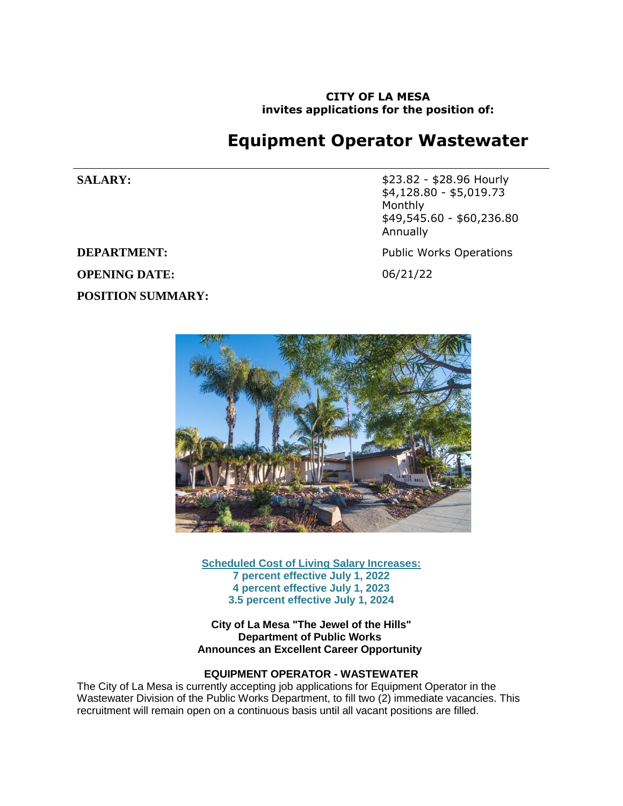**CITY OF LA MESA invites applications for the position of:**

# **Equipment Operator Wastewater**

**DEPARTMENT:** Public Works Operations **OPENING DATE:** 06/21/22 **POSITION SUMMARY:**

**SALARY:**  $$23.82 - $28.96$  Hourly \$4,128.80 - \$5,019.73 Monthly \$49,545.60 - \$60,236.80 Annually



**Scheduled Cost of Living Salary Increases: 7 percent effective July 1, 2022 4 percent effective July 1, 2023 3.5 percent effective July 1, 2024**

**City of La Mesa "The Jewel of the Hills" Department of Public Works Announces an Excellent Career Opportunity**

## **EQUIPMENT OPERATOR - WASTEWATER**

The City of La Mesa is currently accepting job applications for Equipment Operator in the Wastewater Division of the Public Works Department, to fill two (2) immediate vacancies. This recruitment will remain open on a continuous basis until all vacant positions are filled.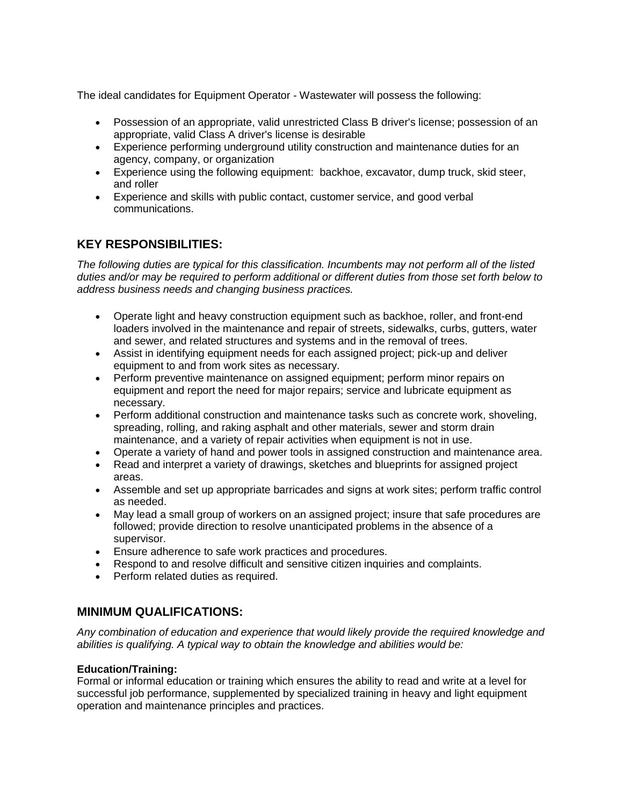The ideal candidates for Equipment Operator - Wastewater will possess the following:

- Possession of an appropriate, valid unrestricted Class B driver's license; possession of an appropriate, valid Class A driver's license is desirable
- Experience performing underground utility construction and maintenance duties for an agency, company, or organization
- Experience using the following equipment: backhoe, excavator, dump truck, skid steer, and roller
- Experience and skills with public contact, customer service, and good verbal communications.

# **KEY RESPONSIBILITIES:**

*The following duties are typical for this classification. Incumbents may not perform all of the listed duties and/or may be required to perform additional or different duties from those set forth below to address business needs and changing business practices.*

- Operate light and heavy construction equipment such as backhoe, roller, and front-end loaders involved in the maintenance and repair of streets, sidewalks, curbs, gutters, water and sewer, and related structures and systems and in the removal of trees.
- Assist in identifying equipment needs for each assigned project; pick-up and deliver equipment to and from work sites as necessary.
- Perform preventive maintenance on assigned equipment; perform minor repairs on equipment and report the need for major repairs; service and lubricate equipment as necessary.
- Perform additional construction and maintenance tasks such as concrete work, shoveling, spreading, rolling, and raking asphalt and other materials, sewer and storm drain maintenance, and a variety of repair activities when equipment is not in use.
- Operate a variety of hand and power tools in assigned construction and maintenance area.
- Read and interpret a variety of drawings, sketches and blueprints for assigned project areas.
- Assemble and set up appropriate barricades and signs at work sites; perform traffic control as needed.
- May lead a small group of workers on an assigned project; insure that safe procedures are followed; provide direction to resolve unanticipated problems in the absence of a supervisor.
- Ensure adherence to safe work practices and procedures.
- Respond to and resolve difficult and sensitive citizen inquiries and complaints.
- Perform related duties as required.

# **MINIMUM QUALIFICATIONS:**

*Any combination of education and experience that would likely provide the required knowledge and abilities is qualifying. A typical way to obtain the knowledge and abilities would be:*

### **Education/Training:**

Formal or informal education or training which ensures the ability to read and write at a level for successful job performance, supplemented by specialized training in heavy and light equipment operation and maintenance principles and practices.